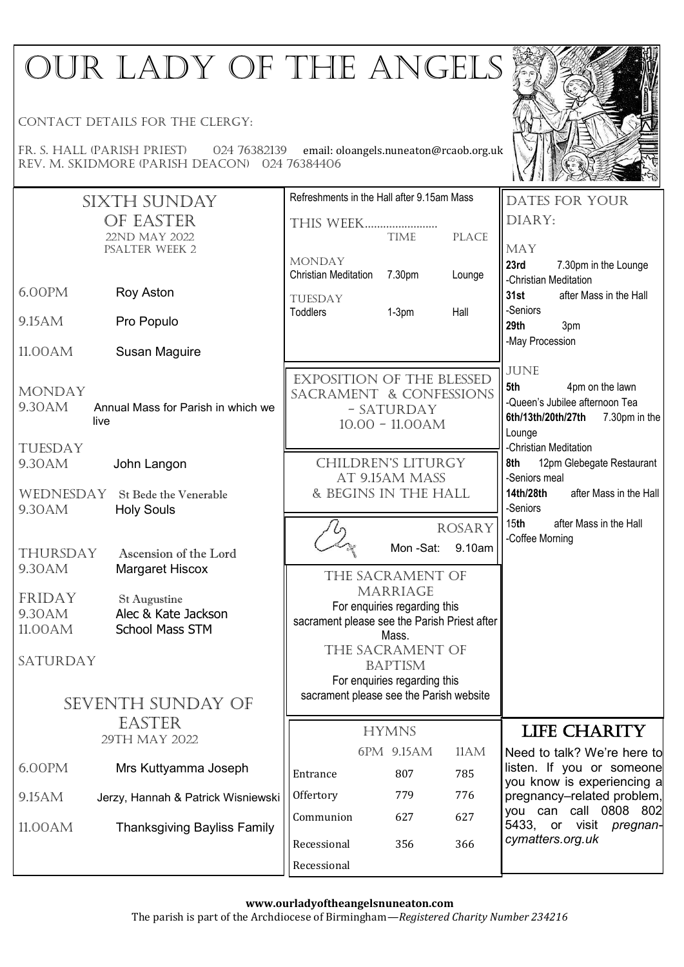# OUR LADY OF THE ANGELS

Contact details for the clergy:

Fr. S. Hall (parish priest) 024 76382139 email: oloangels.nuneaton@rcaob.org.uk Rev. m. Skidmore (parish deacon) 024 76384406